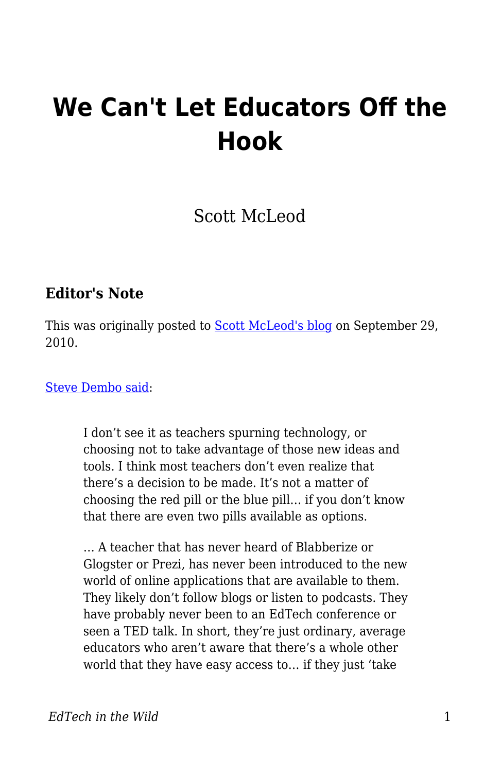# **We Can't Let Educators Off the Hook**

Scott McLeod

### **Editor's Note**

This was originally posted to **Scott McLeod's blog on September 29**, 2010.

[Steve Dembo said](http://www.teach42.com/2010/09/15/the-majority-is-in-the-minority/):

I don't see it as teachers spurning technology, or choosing not to take advantage of those new ideas and tools. I think most teachers don't even realize that there's a decision to be made. It's not a matter of choosing the red pill or the blue pill… if you don't know that there are even two pills available as options.

… A teacher that has never heard of Blabberize or Glogster or Prezi, has never been introduced to the new world of online applications that are available to them. They likely don't follow blogs or listen to podcasts. They have probably never been to an EdTech conference or seen a TED talk. In short, they're just ordinary, average educators who aren't aware that there's a whole other world that they have easy access to… if they just 'take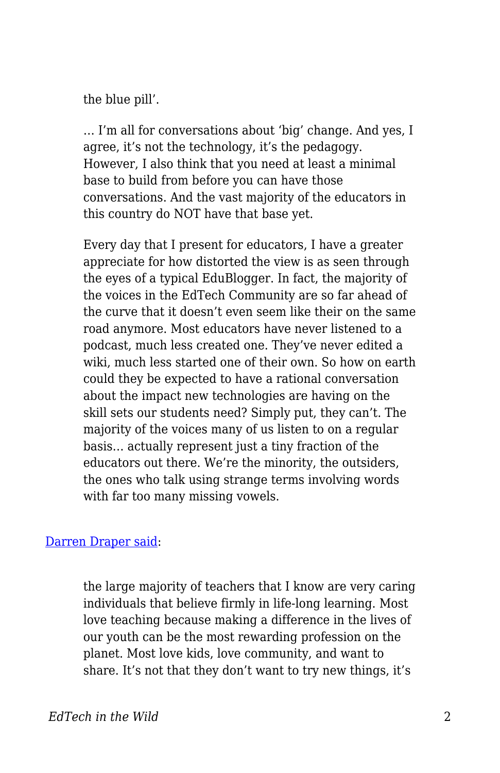the blue pill'.

… I'm all for conversations about 'big' change. And yes, I agree, it's not the technology, it's the pedagogy. However, I also think that you need at least a minimal base to build from before you can have those conversations. And the vast majority of the educators in this country do NOT have that base yet.

Every day that I present for educators, I have a greater appreciate for how distorted the view is as seen through the eyes of a typical EduBlogger. In fact, the majority of the voices in the EdTech Community are so far ahead of the curve that it doesn't even seem like their on the same road anymore. Most educators have never listened to a podcast, much less created one. They've never edited a wiki, much less started one of their own. So how on earth could they be expected to have a rational conversation about the impact new technologies are having on the skill sets our students need? Simply put, they can't. The majority of the voices many of us listen to on a regular basis… actually represent just a tiny fraction of the educators out there. We're the minority, the outsiders, the ones who talk using strange terms involving words with far too many missing vowels.

#### [Darren Draper said:](http://drapestakes.blogspot.com/2010/09/reality-of-matter-edchat.html)

the large majority of teachers that I know are very caring individuals that believe firmly in life-long learning. Most love teaching because making a difference in the lives of our youth can be the most rewarding profession on the planet. Most love kids, love community, and want to share. It's not that they don't want to try new things, it's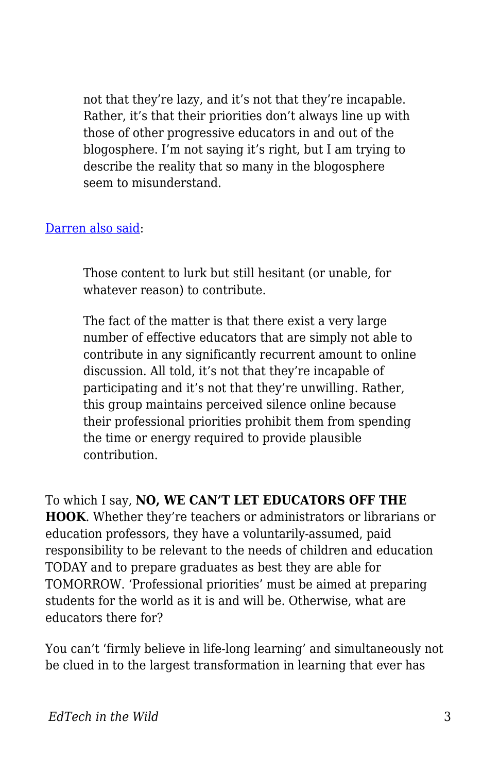not that they're lazy, and it's not that they're incapable. Rather, it's that their priorities don't always line up with those of other progressive educators in and out of the blogosphere. I'm not saying it's right, but I am trying to describe the reality that so many in the blogosphere seem to misunderstand.

#### [Darren also said:](http://drapestakes.blogspot.com/2009/11/those-content-to-lurk.html)

Those content to lurk but still hesitant (or unable, for whatever reason) to contribute.

The fact of the matter is that there exist a very large number of effective educators that are simply not able to contribute in any significantly recurrent amount to online discussion. All told, it's not that they're incapable of participating and it's not that they're unwilling. Rather, this group maintains perceived silence online because their professional priorities prohibit them from spending the time or energy required to provide plausible contribution.

To which I say, **NO, WE CAN'T LET EDUCATORS OFF THE HOOK**. Whether they're teachers or administrators or librarians or education professors, they have a voluntarily-assumed, paid responsibility to be relevant to the needs of children and education TODAY and to prepare graduates as best they are able for TOMORROW. 'Professional priorities' must be aimed at preparing students for the world as it is and will be. Otherwise, what are educators there for?

You can't 'firmly believe in life-long learning' and simultaneously not be clued in to the largest transformation in learning that ever has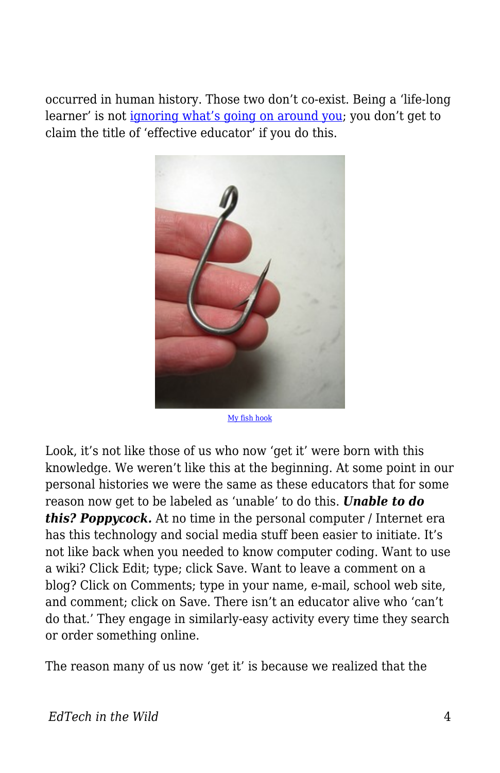occurred in human history. Those two don't co-exist. Being a 'life-long learner' is not [ignoring what's going on around you](http://dangerouslyirrelevant.org/2010/07/no-thanks-i-choose-to-do-nothing.html); you don't get to claim the title of 'effective educator' if you do this.



[My fish hook](http://www.flickr.com/photos/80522246@N00/362335282/)

Look, it's not like those of us who now 'get it' were born with this knowledge. We weren't like this at the beginning. At some point in our personal histories we were the same as these educators that for some reason now get to be labeled as 'unable' to do this. *Unable to do this? Poppycock.* At no time in the personal computer / Internet era has this technology and social media stuff been easier to initiate. It's not like back when you needed to know computer coding. Want to use a wiki? Click Edit; type; click Save. Want to leave a comment on a blog? Click on Comments; type in your name, e-mail, school web site, and comment; click on Save. There isn't an educator alive who 'can't do that.' They engage in similarly-easy activity every time they search or order something online.

The reason many of us now 'get it' is because we realized that the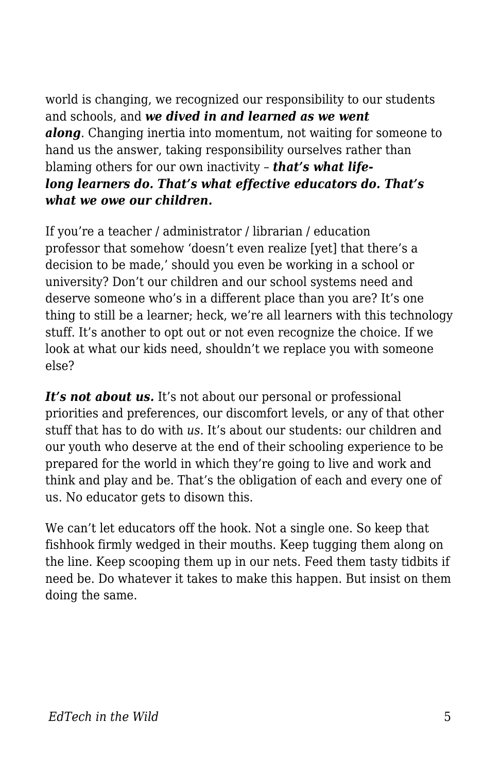world is changing, we recognized our responsibility to our students and schools, and *we dived in and learned as we went along*. Changing inertia into momentum, not waiting for someone to hand us the answer, taking responsibility ourselves rather than blaming others for our own inactivity – *that's what lifelong learners do. That's what effective educators do. That's what we owe our children.*

If you're a teacher / administrator / librarian / education professor that somehow 'doesn't even realize [yet] that there's a decision to be made,' should you even be working in a school or university? Don't our children and our school systems need and deserve someone who's in a different place than you are? It's one thing to still be a learner; heck, we're all learners with this technology stuff. It's another to opt out or not even recognize the choice. If we look at what our kids need, shouldn't we replace you with someone else?

It's not about us. It's not about our personal or professional priorities and preferences, our discomfort levels, or any of that other stuff that has to do with *us*. It's about our students: our children and our youth who deserve at the end of their schooling experience to be prepared for the world in which they're going to live and work and think and play and be. That's the obligation of each and every one of us. No educator gets to disown this.

We can't let educators off the hook. Not a single one. So keep that fishhook firmly wedged in their mouths. Keep tugging them along on the line. Keep scooping them up in our nets. Feed them tasty tidbits if need be. Do whatever it takes to make this happen. But insist on them doing the same.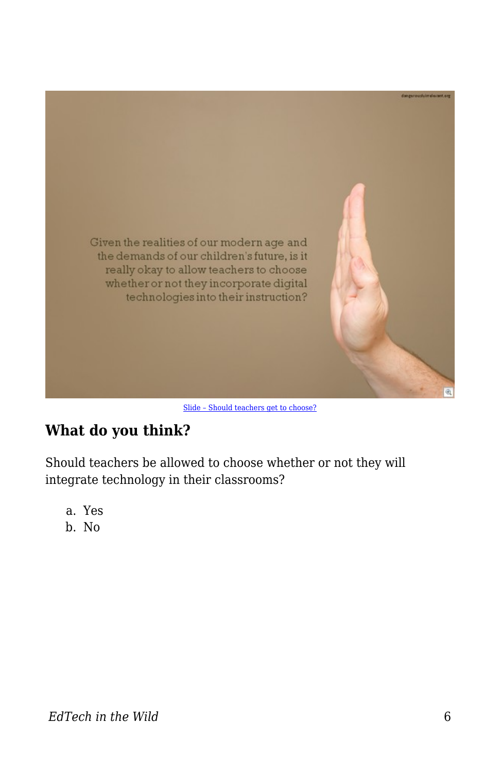

[Slide – Should teachers get to choose?](http://dangerouslyirrelevant.org/2008/10/slide-should.html)

## **What do you think?**

Should teachers be allowed to choose whether or not they will integrate technology in their classrooms?

- a. Yes
- b. No